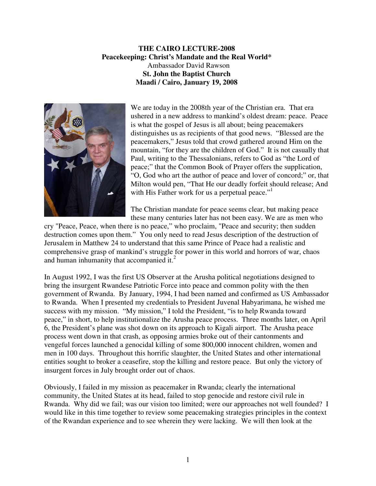## **THE CAIRO LECTURE-2008 Peacekeeping: Christ's Mandate and the Real World\***  Ambassador David Rawson **St. John the Baptist Church Maadi / Cairo, January 19, 2008**



We are today in the 2008th year of the Christian era. That era ushered in a new address to mankind's oldest dream: peace. Peace is what the gospel of Jesus is all about; being peacemakers distinguishes us as recipients of that good news. "Blessed are the peacemakers," Jesus told that crowd gathered around Him on the mountain, "for they are the children of God." It is not casually that Paul, writing to the Thessalonians, refers to God as "the Lord of peace;" that the Common Book of Prayer offers the supplication, "O, God who art the author of peace and lover of concord;" or, that Milton would pen, "That He our deadly forfeit should release; And with His Father work for us a perpetual peace."<sup>1</sup>

The Christian mandate for peace seems clear, but making peace these many centuries later has not been easy. We are as men who

cry "Peace, Peace, when there is no peace," who proclaim, "Peace and security; then sudden destruction comes upon them." You only need to read Jesus description of the destruction of Jerusalem in Matthew 24 to understand that this same Prince of Peace had a realistic and comprehensive grasp of mankind's struggle for power in this world and horrors of war, chaos and human inhumanity that accompanied it. $2$ 

In August 1992, I was the first US Observer at the Arusha political negotiations designed to bring the insurgent Rwandese Patriotic Force into peace and common polity with the then government of Rwanda. By January, 1994, I had been named and confirmed as US Ambassador to Rwanda. When I presented my credentials to President Juvenal Habyarimana, he wished me success with my mission. "My mission," I told the President, "is to help Rwanda toward peace," in short, to help institutionalize the Arusha peace process. Three months later, on April 6, the President's plane was shot down on its approach to Kigali airport. The Arusha peace process went down in that crash, as opposing armies broke out of their cantonments and vengeful forces launched a genocidal killing of some 800,000 innocent children, women and men in 100 days. Throughout this horrific slaughter, the United States and other international entities sought to broker a ceasefire, stop the killing and restore peace. But only the victory of insurgent forces in July brought order out of chaos.

Obviously, I failed in my mission as peacemaker in Rwanda; clearly the international community, the United States at its head, failed to stop genocide and restore civil rule in Rwanda. Why did we fail; was our vision too limited; were our approaches not well founded? I would like in this time together to review some peacemaking strategies principles in the context of the Rwandan experience and to see wherein they were lacking. We will then look at the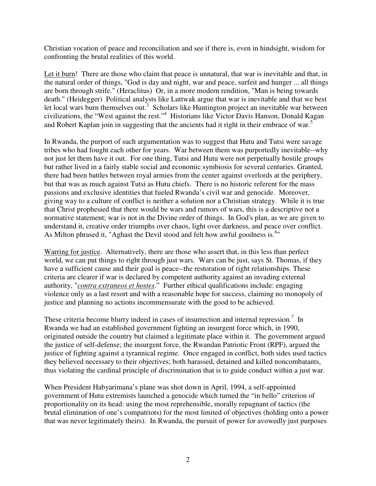Christian vocation of peace and reconciliation and see if there is, even in hindsight, wisdom for confronting the brutal realities of this world.

Let it burn! There are those who claim that peace is unnatural, that war is inevitable and that, in the natural order of things, "God is day and night, war and peace, surfeit and hunger ... all things are born through strife." (Heraclitus) Or, in a more modern rendition, "Man is being towards death." (Heidegger) Political analysts like Luttwak argue that war is inevitable and that we best let local wars burn themselves out.<sup>3</sup> Scholars like Huntington project an inevitable war between civilizations, the "West against the rest."<sup>4</sup> Historians like Victor Davis Hanson, Donald Kagan and Robert Kaplan join in suggesting that the ancients had it right in their embrace of war.<sup>5</sup>

In Rwanda, the purport of such argumentation was to suggest that Hutu and Tutsi were savage tribes who had fought each other for years. War between them was purportedly inevitable--why not just let them have it out. For one thing, Tutsi and Hutu were not perpetually hostile groups but rather lived in a fairly stable social and economic symbiosis for several centuries. Granted, there had been battles between royal armies from the center against overlords at the periphery, but that was as much against Tutsi as Hutu chiefs. There is no historic referent for the mass passions and exclusive identities that fueled Rwanda's civil war and genocide. Moreover, giving way to a culture of conflict is neither a solution nor a Christian strategy. While it is true that Christ prophesied that there would be wars and rumors of wars, this is a descriptive not a normative statement; war is not in the Divine order of things. In God's plan, as we are given to understand it, creative order triumphs over chaos, light over darkness, and peace over conflict. As Milton phrased it, "Aghast the Devil stood and felt how awful goodness is.<sup>6</sup>"

Warring for justice. Alternatively, there are those who assert that, in this less than perfect world, we can put things to right through just wars. Wars can be just, says St. Thomas, if they have a sufficient cause and their goal is peace--the restoration of right relationships. These criteria are clearer if war is declared by competent authority against an invading external authority, "*contra extraneos et hostes*." Further ethical qualifications include: engaging violence only as a last resort and with a reasonable hope for success, claiming no monopoly of justice and planning no actions incommensurate with the good to be achieved.

These criteria become blurry indeed in cases of insurrection and internal repression.<sup>7</sup> In Rwanda we had an established government fighting an insurgent force which, in 1990, originated outside the country but claimed a legitimate place within it. The government argued the justice of self-defense; the insurgent force, the Rwandan Patriotic Front (RPF), argued the justice of fighting against a tyrannical regime. Once engaged in conflict, both sides used tactics they believed necessary to their objectives; both harassed, detained and killed noncombatants, thus violating the cardinal principle of discrimination that is to guide conduct within a just war.

When President Habyarimana's plane was shot down in April, 1994, a self-appointed government of Hutu extremists launched a genocide which turned the "in bello" criterion of proportionality on its head: using the most reprehensible, morally repugnant of tactics (the brutal elimination of one's compatriots) for the most limited of objectives (holding onto a power that was never legitimately theirs). In Rwanda, the pursuit of power for avowedly just purposes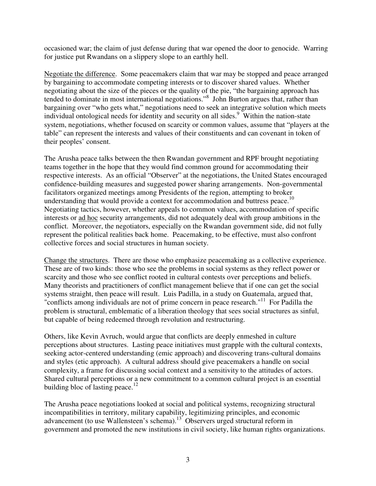occasioned war; the claim of just defense during that war opened the door to genocide. Warring for justice put Rwandans on a slippery slope to an earthly hell.

Negotiate the difference. Some peacemakers claim that war may be stopped and peace arranged by bargaining to accommodate competing interests or to discover shared values. Whether negotiating about the size of the pieces or the quality of the pie, "the bargaining approach has tended to dominate in most international negotiations."<sup>8</sup> John Burton argues that, rather than bargaining over "who gets what," negotiations need to seek an integrative solution which meets individual ontological needs for identity and security on all sides.<sup>9</sup> Within the nation-state system, negotiations, whether focused on scarcity or common values, assume that "players at the table" can represent the interests and values of their constituents and can covenant in token of their peoples' consent.

The Arusha peace talks between the then Rwandan government and RPF brought negotiating teams together in the hope that they would find common ground for accommodating their respective interests. As an official "Observer" at the negotiations, the United States encouraged confidence-building measures and suggested power sharing arrangements. Non-governmental facilitators organized meetings among Presidents of the region, attempting to broker understanding that would provide a context for accommodation and buttress peace.<sup>10</sup> Negotiating tactics, however, whether appeals to common values, accommodation of specific interests or ad hoc security arrangements, did not adequately deal with group ambitions in the conflict. Moreover, the negotiators, especially on the Rwandan government side, did not fully represent the political realities back home. Peacemaking, to be effective, must also confront collective forces and social structures in human society.

Change the structures. There are those who emphasize peacemaking as a collective experience. These are of two kinds: those who see the problems in social systems as they reflect power or scarcity and those who see conflict rooted in cultural contests over perceptions and beliefs. Many theorists and practitioners of conflict management believe that if one can get the social systems straight, then peace will result. Luis Padilla, in a study on Guatemala, argued that, "conflicts among individuals are not of prime concern in peace research."<sup>11</sup> For Padilla the problem is structural, emblematic of a liberation theology that sees social structures as sinful, but capable of being redeemed through revolution and restructuring.

Others, like Kevin Avruch, would argue that conflicts are deeply enmeshed in culture perceptions about structures. Lasting peace initiatives must grapple with the cultural contexts, seeking actor-centered understanding (emic approach) and discovering trans-cultural domains and styles (etic approach). A cultural address should give peacemakers a handle on social complexity, a frame for discussing social context and a sensitivity to the attitudes of actors. Shared cultural perceptions or a new commitment to a common cultural project is an essential building bloc of lasting peace. $12$ 

The Arusha peace negotiations looked at social and political systems, recognizing structural incompatibilities in territory, military capability, legitimizing principles, and economic advancement (to use Wallensteen's schema).<sup>13</sup> Observers urged structural reform in government and promoted the new institutions in civil society, like human rights organizations.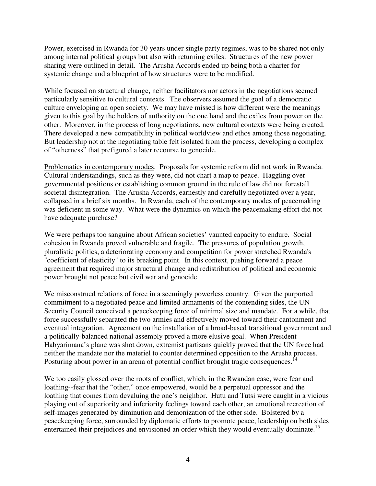Power, exercised in Rwanda for 30 years under single party regimes, was to be shared not only among internal political groups but also with returning exiles. Structures of the new power sharing were outlined in detail. The Arusha Accords ended up being both a charter for systemic change and a blueprint of how structures were to be modified.

While focused on structural change, neither facilitators nor actors in the negotiations seemed particularly sensitive to cultural contexts. The observers assumed the goal of a democratic culture enveloping an open society. We may have missed is how different were the meanings given to this goal by the holders of authority on the one hand and the exiles from power on the other. Moreover, in the process of long negotiations, new cultural contexts were being created. There developed a new compatibility in political worldview and ethos among those negotiating. But leadership not at the negotiating table felt isolated from the process, developing a complex of "otherness" that prefigured a later recourse to genocide.

Problematics in contemporary modes. Proposals for systemic reform did not work in Rwanda. Cultural understandings, such as they were, did not chart a map to peace. Haggling over governmental positions or establishing common ground in the rule of law did not forestall societal disintegration. The Arusha Accords, earnestly and carefully negotiated over a year, collapsed in a brief six months. In Rwanda, each of the contemporary modes of peacemaking was deficient in some way. What were the dynamics on which the peacemaking effort did not have adequate purchase?

We were perhaps too sanguine about African societies' vaunted capacity to endure. Social cohesion in Rwanda proved vulnerable and fragile. The pressures of population growth, pluralistic politics, a deteriorating economy and competition for power stretched Rwanda's "coefficient of elasticity" to its breaking point. In this context, pushing forward a peace agreement that required major structural change and redistribution of political and economic power brought not peace but civil war and genocide.

We misconstrued relations of force in a seemingly powerless country. Given the purported commitment to a negotiated peace and limited armaments of the contending sides, the UN Security Council conceived a peacekeeping force of minimal size and mandate. For a while, that force successfully separated the two armies and effectively moved toward their cantonment and eventual integration. Agreement on the installation of a broad-based transitional government and a politically-balanced national assembly proved a more elusive goal. When President Habyarimana's plane was shot down, extremist partisans quickly proved that the UN force had neither the mandate nor the materiel to counter determined opposition to the Arusha process. Posturing about power in an arena of potential conflict brought tragic consequences.<sup>14</sup>

We too easily glossed over the roots of conflict, which, in the Rwandan case, were fear and loathing--fear that the "other," once empowered, would be a perpetual oppressor and the loathing that comes from devaluing the one's neighbor. Hutu and Tutsi were caught in a vicious playing out of superiority and inferiority feelings toward each other, an emotional recreation of self-images generated by diminution and demonization of the other side. Bolstered by a peacekeeping force, surrounded by diplomatic efforts to promote peace, leadership on both sides entertained their prejudices and envisioned an order which they would eventually dominate.<sup>15</sup>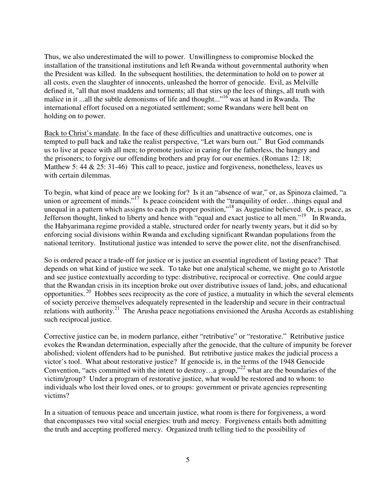Thus, we also underestimated the will to power. Unwillingness to compromise blocked the installation of the transitional institutions and left Rwanda without governmental authority when the President was killed. In the subsequent hostilities, the determination to hold on to power at all costs, even the slaughter of innocents, unleashed the horror of genocide. Evil, as Melville defined it, "all that most maddens and torments; all that stirs up the lees of things, all truth with malice in it ...all the subtle demonisms of life and thought...<sup> $,16$ </sup> was at hand in Rwanda. The international effort focused on a negotiated settlement; some Rwandans were hell bent on holding on to power.

Back to Christ's mandate. In the face of these difficulties and unattractive outcomes, one is tempted to pull back and take the realist perspective, "Let wars burn out." But God commands us to live at peace with all men; to promote justice in caring for the fatherless, the hungry and the prisoners; to forgive our offending brothers and pray for our enemies. (Romans 12: 18; Matthew 5: 44  $\&$  25: 31-46) This call to peace, justice and forgiveness, nonetheless, leaves us with certain dilemmas.

To begin, what kind of peace are we looking for? Is it an "absence of war," or, as Spinoza claimed, "a union or agreement of minds."<sup>17</sup> Is peace coincident with the "tranquility of order…things equal and unequal in a pattern which assigns to each its proper position,"<sup>18</sup> as Augustine believed. Or, is peace, as Jefferson thought, linked to liberty and hence with "equal and exact justice to all men."<sup>19</sup> In Rwanda, the Habyarimana regime provided a stable, structured order for nearly twenty years, but it did so by enforcing social divisions within Rwanda and excluding significant Rwandan populations from the national territory. Institutional justice was intended to serve the power elite, not the disenfranchised.

So is ordered peace a trade-off for justice or is justice an essential ingredient of lasting peace? That depends on what kind of justice we seek. To take but one analytical scheme, we might go to Aristotle and see justice contextually according to type: distributive, reciprocal or corrective. One could argue that the Rwandan crisis in its inception broke out over distributive issues of land, jobs, and educational opportunities.<sup>20</sup> Hobbes sees reciprocity as the core of justice, a mutuality in which the several elements of society perceive themselves adequately represented in the leadership and secure in their contractual relations with authority.<sup>21</sup> The Arusha peace negotiations envisioned the Arusha Accords as establishing such reciprocal justice.

Corrective justice can be, in modern parlance, either "retributive" or "restorative." Retributive justice evokes the Rwandan determination, especially after the genocide, that the culture of impunity be forever abolished; violent offenders had to be punished. But retributive justice makes the judicial process a victor's tool. What about restorative justice? If genocide is, in the terms of the 1948 Genocide Convention, "acts committed with the intent to destroy…a group,"<sup>22</sup> what are the boundaries of the victim/group? Under a program of restorative justice, what would be restored and to whom: to individuals who lost their loved ones, or to groups: government or private agencies representing victims?

In a situation of tenuous peace and uncertain justice, what room is there for forgiveness, a word that encompasses two vital social energies: truth and mercy. Forgiveness entails both admitting the truth and accepting proffered mercy. Organized truth telling tied to the possibility of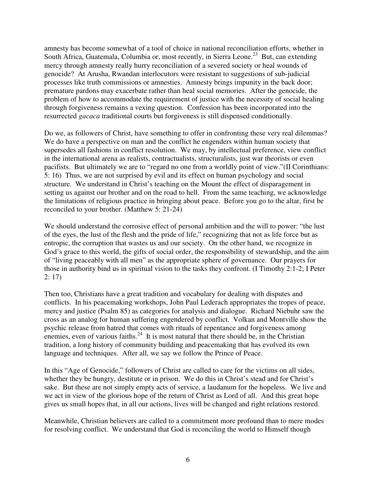amnesty has become somewhat of a tool of choice in national reconciliation efforts, whether in South Africa, Guatemala, Columbia or, most recently, in Sierra Leone.<sup>23</sup> But, can extending mercy through amnesty really hurry reconciliation of a severed society or heal wounds of genocide? At Arusha, Rwandan interlocutors were resistant to suggestions of sub-judicial processes like truth commissions or amnesties. Amnesty brings impunity in the back door; premature pardons may exacerbate rather than heal social memories. After the genocide, the problem of how to accommodate the requirement of justice with the necessity of social healing through forgiveness remains a vexing question. Confession has been incorporated into the resurrected *gacaca* traditional courts but forgiveness is still dispensed conditionally.

Do we, as followers of Christ, have something to offer in confronting these very real dilemmas? We do have a perspective on man and the conflict he engenders within human society that supersedes all fashions in conflict resolution. We may, by intellectual preference, view conflict in the international arena as realists, contractualists, structuralists, just war theorists or even pacifists. But ultimately we are to "regard no one from a worldly point of view."(II Corinthians: 5: 16) Thus, we are not surprised by evil and its effect on human psychology and social structure. We understand in Christ's teaching on the Mount the effect of disparagement in setting us against our brother and on the road to hell. From the same teaching, we acknowledge the limitations of religious practice in bringing about peace. Before you go to the altar, first be reconciled to your brother. (Matthew 5: 21-24)

We should understand the corrosive effect of personal ambition and the will to power: "the lust of the eyes, the lust of the flesh and the pride of life," recognizing that not as life force but as entropic, the corruption that wastes us and our society. On the other hand, we recognize in God's grace to this world, the gifts of social order, the responsibility of stewardship, and the aim of "living peaceably with all men" as the appropriate sphere of governance. Our prayers for those in authority bind us in spiritual vision to the tasks they confront. (I Timothy 2:1-2; I Peter 2: 17)

Then too, Christians have a great tradition and vocabulary for dealing with disputes and conflicts. In his peacemaking workshops, John Paul Lederach appropriates the tropes of peace, mercy and justice (Psalm 85) as categories for analysis and dialogue. Richard Niebuhr saw the cross as an analog for human suffering engendered by conflict. Volkan and Montville show the psychic release from hatred that comes with rituals of repentance and forgiveness among enemies, even of various faiths.<sup>24</sup> It is most natural that there should be, in the Christian tradition, a long history of community building and peacemaking that has evolved its own language and techniques. After all, we say we follow the Prince of Peace.

In this "Age of Genocide," followers of Christ are called to care for the victims on all sides, whether they be hungry, destitute or in prison. We do this in Christ's stead and for Christ's sake. But these are not simply empty acts of service, a laudanum for the hopeless. We live and we act in view of the glorious hope of the return of Christ as Lord of all. And this great hope gives us small hopes that, in all our actions, lives will be changed and right relations restored.

Meanwhile, Christian believers are called to a commitment more profound than to mere modes for resolving conflict. We understand that God is reconciling the world to Himself though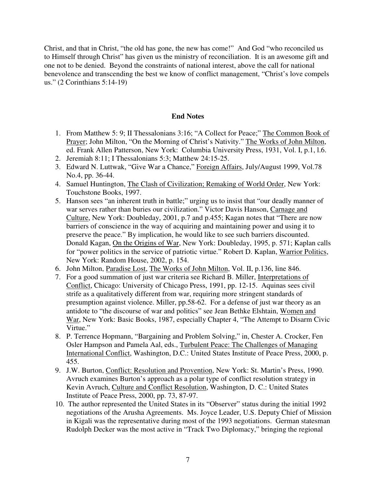Christ, and that in Christ, "the old has gone, the new has come!" And God "who reconciled us to Himself through Christ" has given us the ministry of reconciliation. It is an awesome gift and one not to be denied. Beyond the constraints of national interest, above the call for national benevolence and transcending the best we know of conflict management, "Christ's love compels us." (2 Corinthians 5:14-19)

## **End Notes**

- 1. From Matthew 5: 9; II Thessalonians 3:16; "A Collect for Peace;" The Common Book of Prayer; John Milton, "On the Morning of Christ's Nativity." The Works of John Milton, ed. Frank Allen Patterson, New York: Columbia University Press, 1931, Vol. I, p.1, l.6.
- 2. Jeremiah 8:11; I Thessalonians 5:3; Matthew 24:15-25.
- 3. Edward N. Luttwak, "Give War a Chance," Foreign Affairs, July/August 1999, Vol.78 No.4, pp. 36-44.
- 4. Samuel Huntington, The Clash of Civilization; Remaking of World Order, New York: Touchstone Books, 1997.
- 5. Hanson sees "an inherent truth in battle;" urging us to insist that "our deadly manner of war serves rather than buries our civilization." Victor Davis Hanson, Carnage and Culture, New York: Doubleday, 2001, p.7 and p.455; Kagan notes that "There are now barriers of conscience in the way of acquiring and maintaining power and using it to preserve the peace." By implication, he would like to see such barriers discounted. Donald Kagan, On the Origins of War, New York: Doubleday, 1995, p. 571; Kaplan calls for "power politics in the service of patriotic virtue." Robert D. Kaplan, Warrior Politics, New York: Random House, 2002, p. 154.
- 6. John Milton, Paradise Lost, The Works of John Milton, Vol. II, p.136, line 846.
- 7. For a good summation of just war criteria see Richard B. Miller, Interpretations of Conflict, Chicago: University of Chicago Press, 1991, pp. 12-15. Aquinas sees civil strife as a qualitatively different from war, requiring more stringent standards of presumption against violence. Miller, pp.58-62. For a defense of just war theory as an antidote to "the discourse of war and politics" see Jean Bethke Elshtain, Women and War, New York: Basic Books, 1987, especially Chapter 4, "The Attempt to Disarm Civic Virtue."
- 8. P. Terrence Hopmann, "Bargaining and Problem Solving," in, Chester A. Crocker, Fen Osler Hampson and Pamela Aal, eds., Turbulent Peace: The Challenges of Managing International Conflict, Washington, D.C.: United States Institute of Peace Press, 2000, p. 455.
- 9. J.W. Burton, Conflict: Resolution and Provention, New York: St. Martin's Press, 1990. Avruch examines Burton's approach as a polar type of conflict resolution strategy in Kevin Avruch, Culture and Conflict Resolution, Washington, D. C.: United States Institute of Peace Press, 2000, pp. 73, 87-97.
- 10. The author represented the United States in its "Observer" status during the initial 1992 negotiations of the Arusha Agreements. Ms. Joyce Leader, U.S. Deputy Chief of Mission in Kigali was the representative during most of the 1993 negotiations. German statesman Rudolph Decker was the most active in "Track Two Diplomacy," bringing the regional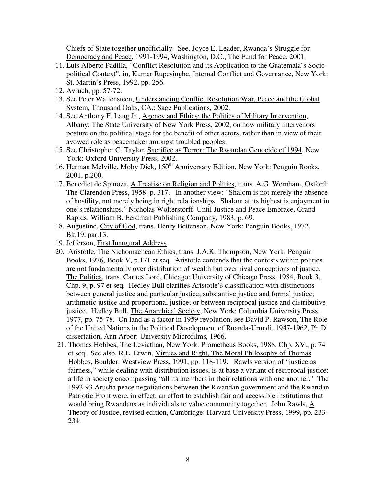Chiefs of State together unofficially. See, Joyce E. Leader, Rwanda's Struggle for Democracy and Peace, 1991-1994, Washington, D.C., The Fund for Peace, 2001.

- 11. Luis Alberto Padilla, "Conflict Resolution and its Application to the Guatemala's Sociopolitical Context", in, Kumar Rupesinghe, Internal Conflict and Governance, New York: St. Martin's Press, 1992, pp. 256.
- 12. Avruch, pp. 57-72.
- 13. See Peter Wallensteen, Understanding Conflict Resolution:War, Peace and the Global System, Thousand Oaks, CA.: Sage Publications, 2002.
- 14. See Anthony F. Lang Jr., Agency and Ethics: the Politics of Military Intervention, Albany: The State University of New York Press, 2002, on how military intervenors posture on the political stage for the benefit of other actors, rather than in view of their avowed role as peacemaker amongst troubled peoples.
- 15. See Christopher C. Taylor, Sacrifice as Terror: The Rwandan Genocide of 1994, New York: Oxford University Press, 2002.
- 16. Herman Melville, Moby Dick, 150<sup>th</sup> Anniversary Edition, New York: Penguin Books, 2001, p.200.
- 17. Benedict de Spinoza, A Treatise on Religion and Politics, trans. A.G. Wernham, Oxford: The Clarendon Press, 1958, p. 317. In another view: "Shalom is not merely the absence of hostility, not merely being in right relationships. Shalom at its highest is enjoyment in one's relationships." Nicholas Wolterstorff, Until Justice and Peace Embrace, Grand Rapids; William B. Eerdman Publishing Company, 1983, p. 69.
- 18. Augustine, City of God, trans. Henry Bettenson, New York: Penguin Books, 1972, Bk.19, par.13.
- 19. Jefferson, First Inaugural Address
- 20. Aristotle, The Nichomachean Ethics, trans. J.A.K. Thompson, New York: Penguin Books, 1976, Book V, p.171 et seq. Aristotle contends that the contests within polities are not fundamentally over distribution of wealth but over rival conceptions of justice. The Politics, trans. Carnes Lord, Chicago: University of Chicago Press, 1984, Book 3, Chp. 9, p. 97 et seq. Hedley Bull clarifies Aristotle's classification with distinctions between general justice and particular justice; substantive justice and formal justice; arithmetic justice and proportional justice; or between reciprocal justice and distributive justice. Hedley Bull, The Anarchical Society, New York: Columbia University Press, 1977, pp. 75-78. On land as a factor in 1959 revolution, see David P. Rawson, The Role of the United Nations in the Political Development of Ruanda-Urundi, 1947-1962, Ph.D dissertation, Ann Arbor: University Microfilms, 1966.
- 21. Thomas Hobbes, The Leviathan, New York: Prometheus Books, 1988, Chp. XV., p. 74 et seq. See also, R.E. Erwin, Virtues and Right, The Moral Philosophy of Thomas Hobbes, Boulder: Westview Press, 1991, pp. 118-119. Rawls version of "justice as fairness," while dealing with distribution issues, is at base a variant of reciprocal justice: a life in society encompassing "all its members in their relations with one another." The 1992-93 Arusha peace negotiations between the Rwandan government and the Rwandan Patriotic Front were, in effect, an effort to establish fair and accessible institutions that would bring Rwandans as individuals to value community together. John Rawls, A Theory of Justice, revised edition, Cambridge: Harvard University Press, 1999, pp. 233- 234.